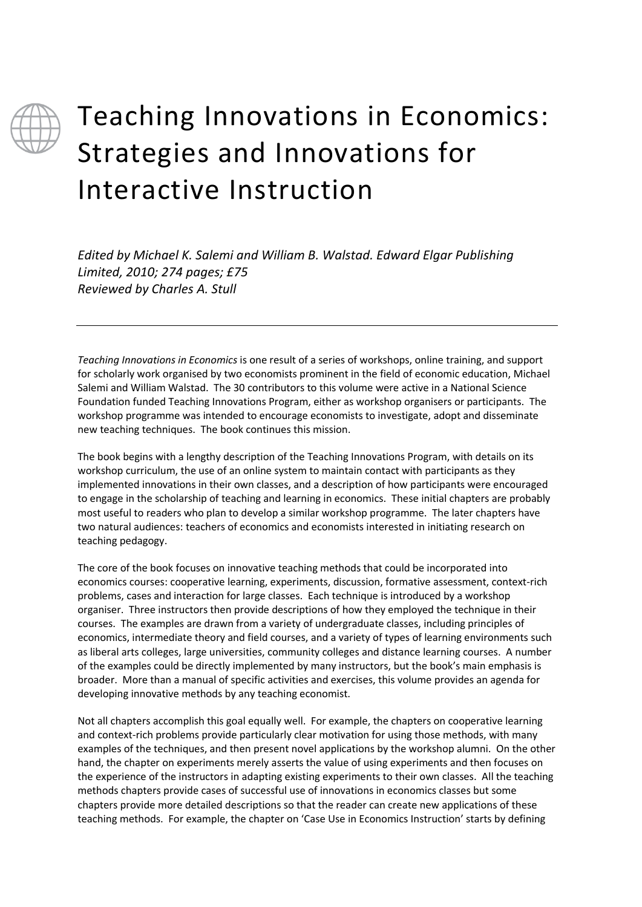

## Teaching Innovations in Economics: Strategies and Innovations for Interactive Instruction

*Edited by Michael K. Salemi and William B. Walstad. Edward Elgar Publishing Limited, 2010; 274 pages; £75 Reviewed by Charles A. Stull*

*Teaching Innovations in Economics* is one result of a series of workshops, online training, and support for scholarly work organised by two economists prominent in the field of economic education, Michael Salemi and William Walstad. The 30 contributors to this volume were active in a National Science Foundation funded Teaching Innovations Program, either as workshop organisers or participants. The workshop programme was intended to encourage economists to investigate, adopt and disseminate new teaching techniques. The book continues this mission.

The book begins with a lengthy description of the Teaching Innovations Program, with details on its workshop curriculum, the use of an online system to maintain contact with participants as they implemented innovations in their own classes, and a description of how participants were encouraged to engage in the scholarship of teaching and learning in economics. These initial chapters are probably most useful to readers who plan to develop a similar workshop programme. The later chapters have two natural audiences: teachers of economics and economists interested in initiating research on teaching pedagogy.

The core of the book focuses on innovative teaching methods that could be incorporated into economics courses: cooperative learning, experiments, discussion, formative assessment, context-rich problems, cases and interaction for large classes. Each technique is introduced by a workshop organiser. Three instructors then provide descriptions of how they employed the technique in their courses. The examples are drawn from a variety of undergraduate classes, including principles of economics, intermediate theory and field courses, and a variety of types of learning environments such as liberal arts colleges, large universities, community colleges and distance learning courses. A number of the examples could be directly implemented by many instructors, but the book's main emphasis is broader. More than a manual of specific activities and exercises, this volume provides an agenda for developing innovative methods by any teaching economist.

Not all chapters accomplish this goal equally well. For example, the chapters on cooperative learning and context-rich problems provide particularly clear motivation for using those methods, with many examples of the techniques, and then present novel applications by the workshop alumni. On the other hand, the chapter on experiments merely asserts the value of using experiments and then focuses on the experience of the instructors in adapting existing experiments to their own classes. All the teaching methods chapters provide cases of successful use of innovations in economics classes but some chapters provide more detailed descriptions so that the reader can create new applications of these teaching methods. For example, the chapter on 'Case Use in Economics Instruction' starts by defining